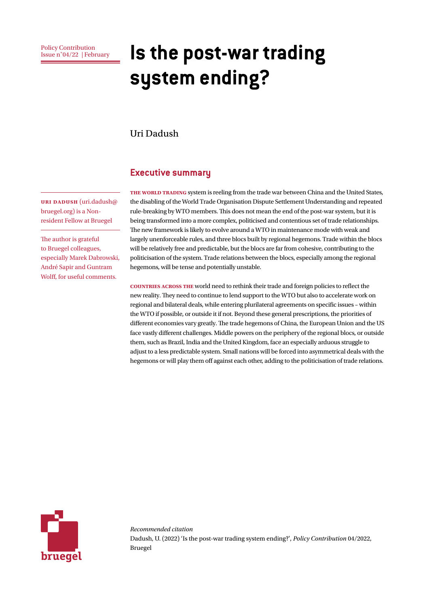# **Is the post-war trading system ending?**

#### Uri Dadush

#### **Executive summary**

THE WORLD TRADING system is reeling from the trade war between China and the United States, the disabling of the World Trade Organisation Dispute Settlement Understanding and repeated rule-breaking by WTO members. This does not mean the end of the post-war system, but it is being transformed into a more complex, politicised and contentious set of trade relationships. The new framework is likely to evolve around a WTO in maintenance mode with weak and largely unenforceable rules, and three blocs built by regional hegemons. Trade within the blocs will be relatively free and predictable, but the blocs are far from cohesive, contributing to the politicisation of the system. Trade relations between the blocs, especially among the regional hegemons, will be tense and potentially unstable.

**Countries across the** world need to rethink their trade and foreign policies to reflect the new reality. They need to continue to lend support to the WTO but also to accelerate work on regional and bilateral deals, while entering plurilateral agreements on specific issues – within the WTO if possible, or outside it if not. Beyond these general prescriptions, the priorities of different economies vary greatly. The trade hegemons of China, the European Union and the US face vastly different challenges. Middle powers on the periphery of the regional blocs, or outside them, such as Brazil, India and the United Kingdom, face an especially arduous struggle to adjust to a less predictable system. Small nations will be forced into asymmetrical deals with the hegemons or will play them off against each other, adding to the politicisation of trade relations.



*Recommended citation* Dadush, U. (2022) 'Is the post-war trading system ending?', *Policy Contribution* 04/2022, Bruegel

**Uri Dadush** (uri.dadush@ bruegel.org) is a Nonresident Fellow at Bruegel

The author is grateful to Bruegel colleagues, especially Marek Dabrowski, André Sapir and Guntram Wolff, for useful comments.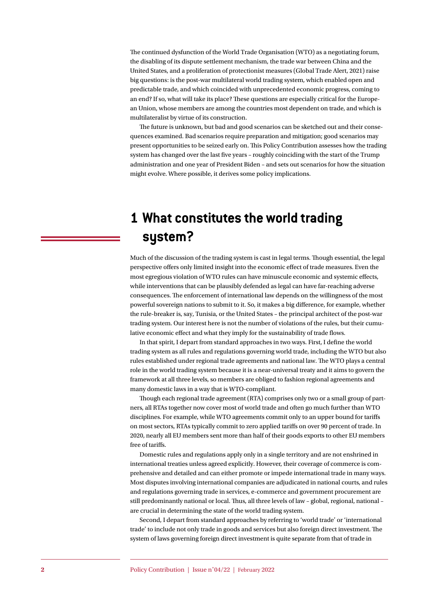The continued dysfunction of the World Trade Organisation (WTO) as a negotiating forum, the disabling of its dispute settlement mechanism, the trade war between China and the United States, and a proliferation of protectionist measures (Global Trade Alert, 2021) raise big questions: is the post-war multilateral world trading system, which enabled open and predictable trade, and which coincided with unprecedented economic progress, coming to an end? If so, what will take its place? These questions are especially critical for the European Union, whose members are among the countries most dependent on trade, and which is multilateralist by virtue of its construction.

The future is unknown, but bad and good scenarios can be sketched out and their consequences examined. Bad scenarios require preparation and mitigation; good scenarios may present opportunities to be seized early on. This Policy Contribution assesses how the trading system has changed over the last five years – roughly coinciding with the start of the Trump administration and one year of President Biden – and sets out scenarios for how the situation might evolve. Where possible, it derives some policy implications.

# **1 What constitutes the world trading system?**

Much of the discussion of the trading system is cast in legal terms. Though essential, the legal perspective offers only limited insight into the economic effect of trade measures. Even the most egregious violation of WTO rules can have minuscule economic and systemic effects, while interventions that can be plausibly defended as legal can have far-reaching adverse consequences. The enforcement of international law depends on the willingness of the most powerful sovereign nations to submit to it. So, it makes a big difference, for example, whether the rule-breaker is, say, Tunisia, or the United States – the principal architect of the post-war trading system. Our interest here is not the number of violations of the rules, but their cumulative economic effect and what they imply for the sustainability of trade flows.

In that spirit, I depart from standard approaches in two ways. First, I define the world trading system as all rules and regulations governing world trade, including the WTO but also rules established under regional trade agreements and national law. The WTO plays a central role in the world trading system because it is a near-universal treaty and it aims to govern the framework at all three levels, so members are obliged to fashion regional agreements and many domestic laws in a way that is WTO-compliant.

Though each regional trade agreement (RTA) comprises only two or a small group of partners, all RTAs together now cover most of world trade and often go much further than WTO disciplines. For example, while WTO agreements commit only to an upper bound for tariffs on most sectors, RTAs typically commit to zero applied tariffs on over 90 percent of trade. In 2020, nearly all EU members sent more than half of their goods exports to other EU members free of tariffs.

Domestic rules and regulations apply only in a single territory and are not enshrined in international treaties unless agreed explicitly. However, their coverage of commerce is comprehensive and detailed and can either promote or impede international trade in many ways. Most disputes involving international companies are adjudicated in national courts, and rules and regulations governing trade in services, e-commerce and government procurement are still predominantly national or local. Thus, all three levels of law – global, regional, national – are crucial in determining the state of the world trading system.

Second, I depart from standard approaches by referring to 'world trade' or 'international trade' to include not only trade in goods and services but also foreign direct investment. The system of laws governing foreign direct investment is quite separate from that of trade in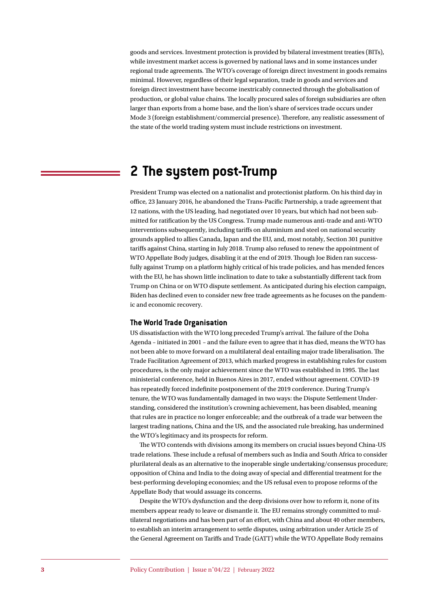goods and services. Investment protection is provided by bilateral investment treaties (BITs), while investment market access is governed by national laws and in some instances under regional trade agreements. The WTO's coverage of foreign direct investment in goods remains minimal. However, regardless of their legal separation, trade in goods and services and foreign direct investment have become inextricably connected through the globalisation of production, or global value chains. The locally procured sales of foreign subsidiaries are often larger than exports from a home base, and the lion's share of services trade occurs under Mode 3 (foreign establishment/commercial presence). Therefore, any realistic assessment of the state of the world trading system must include restrictions on investment.

# **2 The system post-Trump**

President Trump was elected on a nationalist and protectionist platform. On his third day in office, 23 January 2016, he abandoned the Trans-Pacific Partnership, a trade agreement that 12 nations, with the US leading, had negotiated over 10 years, but which had not been submitted for ratification by the US Congress. Trump made numerous anti-trade and anti-WTO interventions subsequently, including tariffs on aluminium and steel on national security grounds applied to allies Canada, Japan and the EU, and, most notably, Section 301 punitive tariffs against China, starting in July 2018. Trump also refused to renew the appointment of WTO Appellate Body judges, disabling it at the end of 2019. Though Joe Biden ran successfully against Trump on a platform highly critical of his trade policies, and has mended fences with the EU, he has shown little inclination to date to take a substantially different tack from Trump on China or on WTO dispute settlement. As anticipated during his election campaign, Biden has declined even to consider new free trade agreements as he focuses on the pandemic and economic recovery.

#### **The World Trade Organisation**

US dissatisfaction with the WTO long preceded Trump's arrival. The failure of the Doha Agenda – initiated in 2001 – and the failure even to agree that it has died, means the WTO has not been able to move forward on a multilateral deal entailing major trade liberalisation. The Trade Facilitation Agreement of 2013, which marked progress in establishing rules for custom procedures, is the only major achievement since the WTO was established in 1995. The last ministerial conference, held in Buenos Aires in 2017, ended without agreement. COVID-19 has repeatedly forced indefinite postponement of the 2019 conference. During Trump's tenure, the WTO was fundamentally damaged in two ways: the Dispute Settlement Understanding, considered the institution's crowning achievement, has been disabled, meaning that rules are in practice no longer enforceable; and the outbreak of a trade war between the largest trading nations, China and the US, and the associated rule breaking, has undermined the WTO's legitimacy and its prospects for reform.

The WTO contends with divisions among its members on crucial issues beyond China-US trade relations. These include a refusal of members such as India and South Africa to consider plurilateral deals as an alternative to the inoperable single undertaking/consensus procedure; opposition of China and India to the doing away of special and differential treatment for the best-performing developing economies; and the US refusal even to propose reforms of the Appellate Body that would assuage its concerns.

Despite the WTO's dysfunction and the deep divisions over how to reform it, none of its members appear ready to leave or dismantle it. The EU remains strongly committed to multilateral negotiations and has been part of an effort, with China and about 40 other members, to establish an interim arrangement to settle disputes, using arbitration under Article 25 of the General Agreement on Tariffs and Trade (GATT) while the WTO Appellate Body remains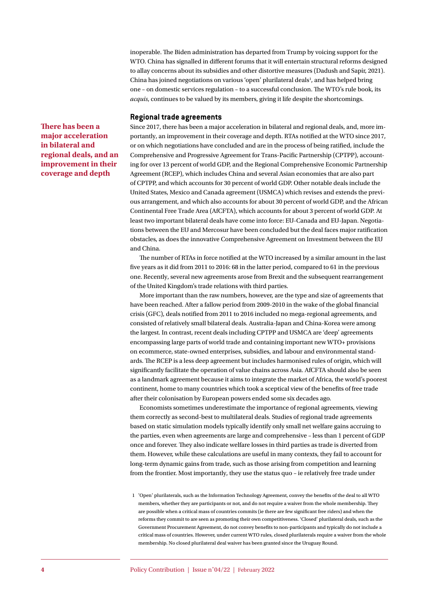inoperable. The Biden administration has departed from Trump by voicing support for the WTO. China has signalled in different forums that it will entertain structural reforms designed to allay concerns about its subsidies and other distortive measures (Dadush and Sapir, 2021). China has joined negotiations on various 'open' plurilateral deals<sup>1</sup>, and has helped bring one – on domestic services regulation – to a successful conclusion. The WTO's rule book, its *acquis*, continues to be valued by its members, giving it life despite the shortcomings.

#### **Regional trade agreements**

**There has been a major acceleration in bilateral and regional deals, and an improvement in their coverage and depth**

Since 2017, there has been a major acceleration in bilateral and regional deals, and, more importantly, an improvement in their coverage and depth. RTAs notified at the WTO since 2017, or on which negotiations have concluded and are in the process of being ratified, include the Comprehensive and Progressive Agreement for Trans-Pacific Partnership (CPTPP), accounting for over 13 percent of world GDP, and the Regional Comprehensive Economic Partnership Agreement (RCEP), which includes China and several Asian economies that are also part of CPTPP, and which accounts for 30 percent of world GDP. Other notable deals include the United States, Mexico and Canada agreement (USMCA) which revises and extends the previous arrangement, and which also accounts for about 30 percent of world GDP, and the African Continental Free Trade Area (AfCFTA), which accounts for about 3 percent of world GDP. At least two important bilateral deals have come into force: EU-Canada and EU-Japan. Negotiations between the EU and Mercosur have been concluded but the deal faces major ratification obstacles, as does the innovative Comprehensive Agreement on Investment between the EU and China.

The number of RTAs in force notified at the WTO increased by a similar amount in the last five years as it did from 2011 to 2016: 68 in the latter period, compared to 61 in the previous one. Recently, several new agreements arose from Brexit and the subsequent rearrangement of the United Kingdom's trade relations with third parties.

More important than the raw numbers, however, are the type and size of agreements that have been reached. After a fallow period from 2009-2010 in the wake of the global financial crisis (GFC), deals notified from 2011 to 2016 included no mega-regional agreements, and consisted of relatively small bilateral deals. Australia-Japan and China-Korea were among the largest. In contrast, recent deals including CPTPP and USMCA are 'deep' agreements encompassing large parts of world trade and containing important new WTO+ provisions on ecommerce, state-owned enterprises, subsidies, and labour and environmental standards. The RCEP is a less deep agreement but includes harmonised rules of origin, which will significantly facilitate the operation of value chains across Asia. AfCFTA should also be seen as a landmark agreement because it aims to integrate the market of Africa, the world's poorest continent, home to many countries which took a sceptical view of the benefits of free trade after their colonisation by European powers ended some six decades ago.

Economists sometimes underestimate the importance of regional agreements, viewing them correctly as second-best to multilateral deals. Studies of regional trade agreements based on static simulation models typically identify only small net welfare gains accruing to the parties, even when agreements are large and comprehensive – less than 1 percent of GDP once and forever. They also indicate welfare losses in third parties as trade is diverted from them. However, while these calculations are useful in many contexts, they fail to account for long-term dynamic gains from trade, such as those arising from competition and learning from the frontier. Most importantly, they use the status quo – ie relatively free trade under

<sup>1</sup> 'Open' plurilaterals, such as the Information Technology Agreement, convey the benefits of the deal to all WTO members, whether they are participants or not, and do not require a waiver from the whole membership. They are possible when a critical mass of countries commits (ie there are few significant free riders) and when the reforms they commit to are seen as promoting their own competitiveness. 'Closed' plurilateral deals, such as the Government Procurement Agreement, do not convey benefits to non-participants and typically do not include a critical mass of countries. However, under current WTO rules, closed plurilaterals require a waiver from the whole membership. No closed plurilateral deal waiver has been granted since the Uruguay Round.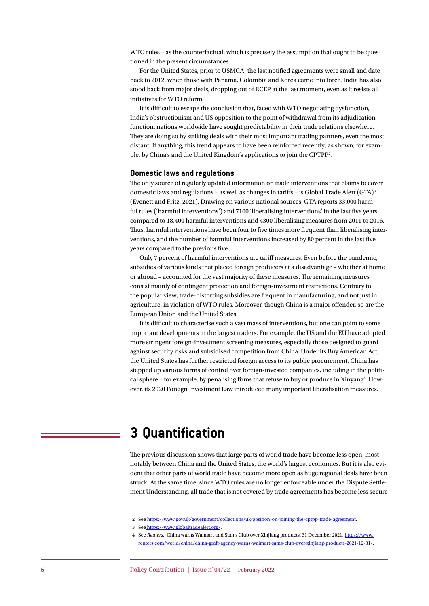WTO rules – as the counterfactual, which is precisely the assumption that ought to be questioned in the present circumstances.

For the United States, prior to USMCA, the last notified agreements were small and date back to 2012, when those with Panama, Colombia and Korea came into force. India has also stood back from major deals, dropping out of RCEP at the last moment, even as it resists all initiatives for WTO reform.

It is difficult to escape the conclusion that, faced with WTO negotiating dysfunction, India's obstructionism and US opposition to the point of withdrawal from its adjudication function, nations worldwide have sought predictability in their trade relations elsewhere. They are doing so by striking deals with their most important trading partners, even the most distant. If anything, this trend appears to have been reinforced recently, as shown, for example, by China's and the United Kingdom's applications to join the CPTPP2 .

#### **Domestic laws and regulations**

The only source of regularly updated information on trade interventions that claims to cover domestic laws and regulations - as well as changes in tariffs - is Global Trade Alert (GTA)<sup>3</sup> (Evenett and Fritz, 2021). Drawing on various national sources, GTA reports 33,000 harmful rules ('harmful interventions') and 7100 'liberalising interventions' in the last five years, compared to 18,400 harmful interventions and 4300 liberalising measures from 2011 to 2016. Thus, harmful interventions have been four to five times more frequent than liberalising interventions, and the number of harmful interventions increased by 80 percent in the last five years compared to the previous five.

Only 7 percent of harmful interventions are tariff measures. Even before the pandemic, subsidies of various kinds that placed foreign producers at a disadvantage – whether at home or abroad – accounted for the vast majority of these measures. The remaining measures consist mainly of contingent protection and foreign-investment restrictions. Contrary to the popular view, trade-distorting subsidies are frequent in manufacturing, and not just in agriculture, in violation of WTO rules. Moreover, though China is a major offender, so are the European Union and the United States.

It is difficult to characterise such a vast mass of interventions, but one can point to some important developments in the largest traders. For example, the US and the EU have adopted more stringent foreign-investment screening measures, especially those designed to guard against security risks and subsidised competition from China. Under its Buy American Act, the United States has further restricted foreign access to its public procurement. China has stepped up various forms of control over foreign-invested companies, including in the political sphere - for example, by penalising firms that refuse to buy or produce in Xinyang<sup>4</sup>. However, its 2020 Foreign Investment Law introduced many important liberalisation measures.

# **3 Quantification**

The previous discussion shows that large parts of world trade have become less open, most notably between China and the United States, the world's largest economies. But it is also evident that other parts of world trade have become more open as huge regional deals have been struck. At the same time, since WTO rules are no longer enforceable under the Dispute Settlement Understanding, all trade that is not covered by trade agreements has become less secure

2 See <https://www.gov.uk/government/collections/uk-position-on-joining-the-cptpp-trade-agreement>.

3 See [https://www.globaltradealert.org/]( https://www.globaltradealert.org/).

4 See *Reuters*, 'China warns Walmart and Sam's Club over Xinjiang products', 31 December 2021, [https://www.](https://www.reuters.com/world/china/china-graft-agency-warns-walmart-sams-club-over-xinjiang-products-2021-12-31/) [reuters.com/world/china/china-graft-agency-warns-walmart-sams-club-over-xinjiang-products-2021-12-31/](https://www.reuters.com/world/china/china-graft-agency-warns-walmart-sams-club-over-xinjiang-products-2021-12-31/).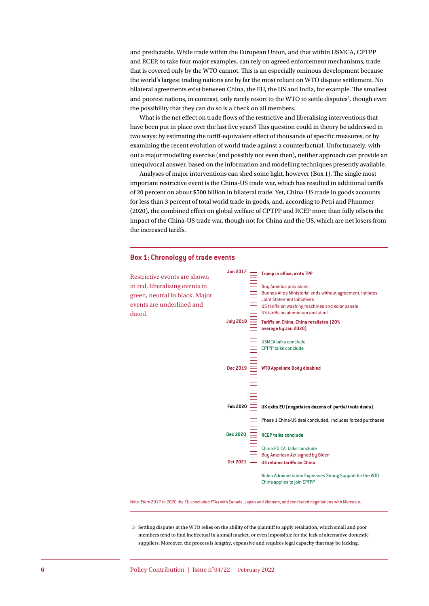and predictable. While trade within the European Union, and that within USMCA, CPTPP and RCEP, to take four major examples, can rely on agreed enforcement mechanisms, trade that is covered only by the WTO cannot. This is an especially ominous development because the world's largest trading nations are by far the most reliant on WTO dispute settlement. No bilateral agreements exist between China, the EU, the US and India, for example. The smallest and poorest nations, in contrast, only rarely resort to the WTO to settle disputes<sup>5</sup>, though even the possibility that they can do so is a check on all members.

What is the net effect on trade flows of the restrictive and liberalising interventions that have been put in place over the last five years? This question could in theory be addressed in two ways: by estimating the tariff-equivalent effect of thousands of specific measures, or by examining the recent evolution of world trade against a counterfactual. Unfortunately, without a major modelling exercise (and possibly not even then), neither approach can provide an unequivocal answer, based on the information and modelling techniques presently available.

Analyses of major interventions can shed some light, however (Box 1). The single most important restrictive event is the China-US trade war, which has resulted in additional tariffs of 20 percent on about \$500 billion in bilateral trade. Yet, China-US trade in goods accounts for less than 3 percent of total world trade in goods, and, according to Petri and Plummer (2020), the combined effect on global welfare of CPTPP and RCEP more than fully offsets the impact of the China-US trade war, though not for China and the US, which are net losers from the increased tariffs.

#### **Box 1: Chronology of trade events**

dated.



Note: From 2017 to 2020 the EU concluded FTAs with Canada, Japan and Vietnam, and concluded negotiations with Mercosur.

5 Settling disputes at the WTO relies on the ability of the plaintiff to apply retaliation, which small and poor members tend to find ineffectual in a small market, or even impossible for the lack of alternative domestic suppliers. Moreover, the process is lengthy, expensive and requires legal capacity that may be lacking.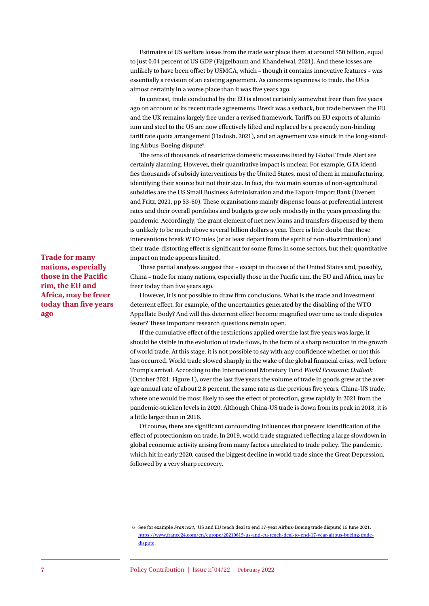Estimates of US welfare losses from the trade war place them at around \$50 billion, equal to just 0.04 percent of US GDP (Fajgelbaum and Khandelwal, 2021). And these losses are unlikely to have been offset by USMCA, which – though it contains innovative features – was essentially a revision of an existing agreement. As concerns openness to trade, the US is almost certainly in a worse place than it was five years ago.

In contrast, trade conducted by the EU is almost certainly somewhat freer than five years ago on account of its recent trade agreements. Brexit was a setback, but trade between the EU and the UK remains largely free under a revised framework. Tariffs on EU exports of aluminium and steel to the US are now effectively lifted and replaced by a presently non-binding tariff rate quota arrangement (Dadush, 2021), and an agreement was struck in the long-standing Airbus-Boeing dispute<sup>6</sup>.

The tens of thousands of restrictive domestic measures listed by Global Trade Alert are certainly alarming. However, their quantitative impact is unclear. For example, GTA identifies thousands of subsidy interventions by the United States, most of them in manufacturing, identifying their source but not their size. In fact, the two main sources of non-agricultural subsidies are the US Small Business Administration and the Export-Import Bank (Evenett and Fritz, 2021, pp 53-60). These organisations mainly dispense loans at preferential interest rates and their overall portfolios and budgets grew only modestly in the years preceding the pandemic. Accordingly, the grant element of net new loans and transfers dispensed by them is unlikely to be much above several billion dollars a year. There is little doubt that these interventions break WTO rules (or at least depart from the spirit of non-discrimination) and their trade-distorting effect is significant for some firms in some sectors, but their quantitative impact on trade appears limited.

These partial analyses suggest that – except in the case of the United States and, possibly, China – trade for many nations, especially those in the Pacific rim, the EU and Africa, may be freer today than five years ago.

However, it is not possible to draw firm conclusions. What is the trade and investment deterrent effect, for example, of the uncertainties generated by the disabling of the WTO Appellate Body? And will this deterrent effect become magnified over time as trade disputes fester? These important research questions remain open.

If the cumulative effect of the restrictions applied over the last five years was large, it should be visible in the evolution of trade flows, in the form of a sharp reduction in the growth of world trade. At this stage, it is not possible to say with any confidence whether or not this has occurred. World trade slowed sharply in the wake of the global financial crisis, well before Trump's arrival. According to the International Monetary Fund *World Economic Outlook* (October 2021; Figure 1), over the last five years the volume of trade in goods grew at the average annual rate of about 2.8 percent, the same rate as the previous five years. China-US trade, where one would be most likely to see the effect of protection, grew rapidly in 2021 from the pandemic-stricken levels in 2020. Although China-US trade is down from its peak in 2018, it is a little larger than in 2016.

Of course, there are significant confounding influences that prevent identification of the effect of protectionism on trade. In 2019, world trade stagnated reflecting a large slowdown in global economic activity arising from many factors unrelated to trade policy. The pandemic, which hit in early 2020, caused the biggest decline in world trade since the Great Depression, followed by a very sharp recovery.

**Trade for many nations, especially those in the Pacific rim, the EU and Africa, may be freer today than five years ago**

<sup>6</sup> See for example *France24*, 'US and EU reach deal to end 17-year Airbus-Boeing trade dispute', 15 June 2021, [https://www.france24.com/en/europe/20210615-us-and-eu-reach-deal-to-end-17-year-airbus-boeing-trade](https://www.france24.com/en/europe/20210615-us-and-eu-reach-deal-to-end-17-year-airbus-boeing-trade-dispute)[dispute](https://www.france24.com/en/europe/20210615-us-and-eu-reach-deal-to-end-17-year-airbus-boeing-trade-dispute).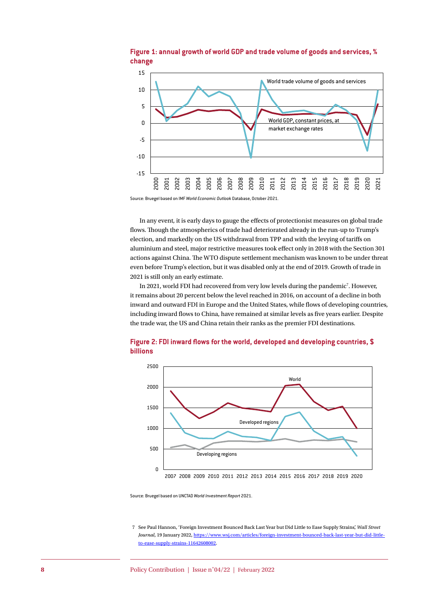

#### **Figure 1: annual growth of world GDP and trade volume of goods and services, % change**

Source: Bruegel based on IMF *World Economic Outlook* Database, October 2021.

In any event, it is early days to gauge the effects of protectionist measures on global trade flows. Though the atmospherics of trade had deteriorated already in the run-up to Trump's election, and markedly on the US withdrawal from TPP and with the levying of tariffs on aluminium and steel, major restrictive measures took effect only in 2018 with the Section 301 actions against China. The WTO dispute settlement mechanism was known to be under threat even before Trump's election, but it was disabled only at the end of 2019. Growth of trade in 2021 is still only an early estimate.

In 2021, world FDI had recovered from very low levels during the pandemic<sup>7</sup>. However, it remains about 20 percent below the level reached in 2016, on account of a decline in both inward and outward FDI in Europe and the United States, while flows of developing countries, including inward flows to China, have remained at similar levels as five years earlier. Despite the trade war, the US and China retain their ranks as the premier FDI destinations.



#### **Figure 2: FDI inward flows for the world, developed and developing countries, \$ billions**

Source: Bruegel based on UNCTAD *World Investment Report* 2021.

7 See Paul Hannon, 'Foreign Investment Bounced Back Last Year but Did Little to Ease Supply Strains', *Wall Street Journal*, 19 January 2022, [https://www.wsj.com/articles/foreign-investment-bounced-back-last-year-but-did-little](https://www.wsj.com/articles/foreign-investment-bounced-back-last-year-but-did-little-to-ease-supply-strains-11642608002)[to-ease-supply-strains-11642608002](https://www.wsj.com/articles/foreign-investment-bounced-back-last-year-but-did-little-to-ease-supply-strains-11642608002).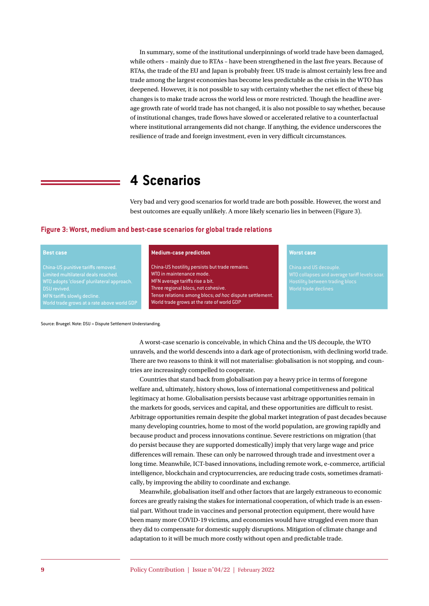In summary, some of the institutional underpinnings of world trade have been damaged, while others – mainly due to RTAs – have been strengthened in the last five years. Because of RTAs, the trade of the EU and Japan is probably freer. US trade is almost certainly less free and trade among the largest economies has become less predictable as the crisis in the WTO has deepened. However, it is not possible to say with certainty whether the net effect of these big changes is to make trade across the world less or more restricted. Though the headline average growth rate of world trade has not changed, it is also not possible to say whether, because of institutional changes, trade flows have slowed or accelerated relative to a counterfactual where institutional arrangements did not change. If anything, the evidence underscores the resilience of trade and foreign investment, even in very difficult circumstances.

### **4 Scenarios**

Very bad and very good scenarios for world trade are both possible. However, the worst and best outcomes are equally unlikely. A more likely scenario lies in between (Figure 3).

#### **Figure 3: Worst, medium and best-case scenarios for global trade relations**

#### **Best case**

WTO adopts 'closed' plurilateral approach. DSU revived.

#### **Medium-case prediction**

China-US hostility persists but trade remains. WTO in maintenance mode. MFN average tariffs rise a bit. Three regional blocs, not cohesive. Tense relations among blocs; *ad hoc* dispute settlement. World trade grows at the rate of world GDP

#### **Worst case**

World trade declines

Source: Bruegel. Note: DSU = Dispute Settlement Understanding.

A worst-case scenario is conceivable, in which China and the US decouple, the WTO unravels, and the world descends into a dark age of protectionism, with declining world trade. There are two reasons to think it will not materialise: globalisation is not stopping, and countries are increasingly compelled to cooperate.

Countries that stand back from globalisation pay a heavy price in terms of foregone welfare and, ultimately, history shows, loss of international competitiveness and political legitimacy at home. Globalisation persists because vast arbitrage opportunities remain in the markets for goods, services and capital, and these opportunities are difficult to resist. Arbitrage opportunities remain despite the global market integration of past decades because many developing countries, home to most of the world population, are growing rapidly and because product and process innovations continue. Severe restrictions on migration (that do persist because they are supported domestically) imply that very large wage and price differences will remain. These can only be narrowed through trade and investment over a long time. Meanwhile, ICT-based innovations, including remote work, e-commerce, artificial intelligence, blockchain and cryptocurrencies, are reducing trade costs, sometimes dramatically, by improving the ability to coordinate and exchange.

Meanwhile, globalisation itself and other factors that are largely extraneous to economic forces are greatly raising the stakes for international cooperation, of which trade is an essential part. Without trade in vaccines and personal protection equipment, there would have been many more COVID-19 victims, and economies would have struggled even more than they did to compensate for domestic supply disruptions. Mitigation of climate change and adaptation to it will be much more costly without open and predictable trade.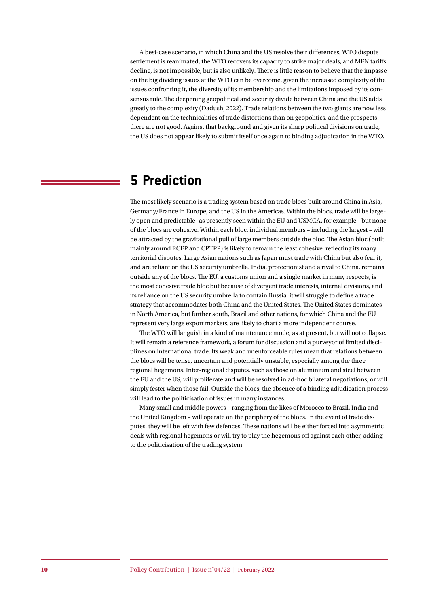A best-case scenario, in which China and the US resolve their differences, WTO dispute settlement is reanimated, the WTO recovers its capacity to strike major deals, and MFN tariffs decline, is not impossible, but is also unlikely. There is little reason to believe that the impasse on the big dividing issues at the WTO can be overcome, given the increased complexity of the issues confronting it, the diversity of its membership and the limitations imposed by its consensus rule. The deepening geopolitical and security divide between China and the US adds greatly to the complexity (Dadush, 2022). Trade relations between the two giants are now less dependent on the technicalities of trade distortions than on geopolitics, and the prospects there are not good. Against that background and given its sharp political divisions on trade, the US does not appear likely to submit itself once again to binding adjudication in the WTO.

# **5 Prediction**

The most likely scenario is a trading system based on trade blocs built around China in Asia, Germany/France in Europe, and the US in the Americas. Within the blocs, trade will be largely open and predictable -as presently seen within the EU and USMCA, for example - but none of the blocs are cohesive. Within each bloc, individual members – including the largest – will be attracted by the gravitational pull of large members outside the bloc. The Asian bloc (built mainly around RCEP and CPTPP) is likely to remain the least cohesive, reflecting its many territorial disputes. Large Asian nations such as Japan must trade with China but also fear it, and are reliant on the US security umbrella. India, protectionist and a rival to China, remains outside any of the blocs. The EU, a customs union and a single market in many respects, is the most cohesive trade bloc but because of divergent trade interests, internal divisions, and its reliance on the US security umbrella to contain Russia, it will struggle to define a trade strategy that accommodates both China and the United States. The United States dominates in North America, but further south, Brazil and other nations, for which China and the EU represent very large export markets, are likely to chart a more independent course.

The WTO will languish in a kind of maintenance mode, as at present, but will not collapse. It will remain a reference framework, a forum for discussion and a purveyor of limited disciplines on international trade. Its weak and unenforceable rules mean that relations between the blocs will be tense, uncertain and potentially unstable, especially among the three regional hegemons. Inter-regional disputes, such as those on aluminium and steel between the EU and the US, will proliferate and will be resolved in ad-hoc bilateral negotiations, or will simply fester when those fail. Outside the blocs, the absence of a binding adjudication process will lead to the politicisation of issues in many instances.

Many small and middle powers – ranging from the likes of Morocco to Brazil, India and the United Kingdom – will operate on the periphery of the blocs. In the event of trade disputes, they will be left with few defences. These nations will be either forced into asymmetric deals with regional hegemons or will try to play the hegemons off against each other, adding to the politicisation of the trading system.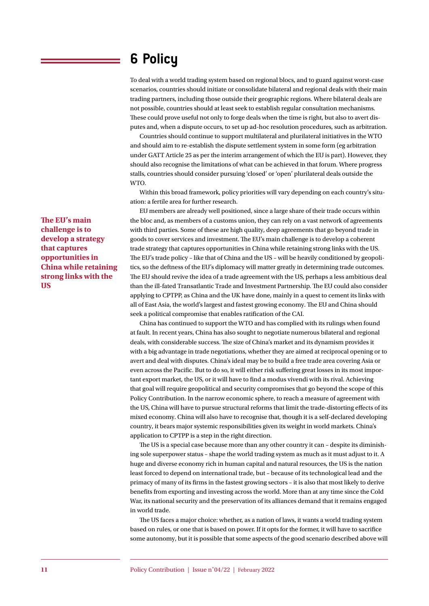# **6 Policy**

To deal with a world trading system based on regional blocs, and to guard against worst-case scenarios, countries should initiate or consolidate bilateral and regional deals with their main trading partners, including those outside their geographic regions. Where bilateral deals are not possible, countries should at least seek to establish regular consultation mechanisms. These could prove useful not only to forge deals when the time is right, but also to avert disputes and, when a dispute occurs, to set up ad-hoc resolution procedures, such as arbitration.

Countries should continue to support multilateral and plurilateral initiatives in the WTO and should aim to re-establish the dispute settlement system in some form (eg arbitration under GATT Article 25 as per the interim arrangement of which the EU is part). However, they should also recognise the limitations of what can be achieved in that forum. Where progress stalls, countries should consider pursuing 'closed' or 'open' plurilateral deals outside the WTO.

Within this broad framework, policy priorities will vary depending on each country's situation: a fertile area for further research.

EU members are already well positioned, since a large share of their trade occurs within the bloc and, as members of a customs union, they can rely on a vast network of agreements with third parties. Some of these are high quality, deep agreements that go beyond trade in goods to cover services and investment. The EU's main challenge is to develop a coherent trade strategy that captures opportunities in China while retaining strong links with the US. The EU's trade policy – like that of China and the US – will be heavily conditioned by geopolitics, so the deftness of the EU's diplomacy will matter greatly in determining trade outcomes. The EU should revive the idea of a trade agreement with the US, perhaps a less ambitious deal than the ill-fated Transatlantic Trade and Investment Partnership. The EU could also consider applying to CPTPP, as China and the UK have done, mainly in a quest to cement its links with all of East Asia, the world's largest and fastest growing economy. The EU and China should seek a political compromise that enables ratification of the CAI.

China has continued to support the WTO and has complied with its rulings when found at fault. In recent years, China has also sought to negotiate numerous bilateral and regional deals, with considerable success. The size of China's market and its dynamism provides it with a big advantage in trade negotiations, whether they are aimed at reciprocal opening or to avert and deal with disputes. China's ideal may be to build a free trade area covering Asia or even across the Pacific. But to do so, it will either risk suffering great losses in its most important export market, the US, or it will have to find a modus vivendi with its rival. Achieving that goal will require geopolitical and security compromises that go beyond the scope of this Policy Contribution. In the narrow economic sphere, to reach a measure of agreement with the US, China will have to pursue structural reforms that limit the trade-distorting effects of its mixed economy. China will also have to recognise that, though it is a self-declared developing country, it bears major systemic responsibilities given its weight in world markets. China's application to CPTPP is a step in the right direction.

The US is a special case because more than any other country it can – despite its diminishing sole superpower status – shape the world trading system as much as it must adjust to it. A huge and diverse economy rich in human capital and natural resources, the US is the nation least forced to depend on international trade, but – because of its technological lead and the primacy of many of its firms in the fastest growing sectors – it is also that most likely to derive benefits from exporting and investing across the world. More than at any time since the Cold War, its national security and the preservation of its alliances demand that it remains engaged in world trade.

The US faces a major choice: whether, as a nation of laws, it wants a world trading system based on rules, or one that is based on power. If it opts for the former, it will have to sacrifice some autonomy, but it is possible that some aspects of the good scenario described above will

**The EU's main challenge is to develop a strategy that captures opportunities in China while retaining strong links with the US**